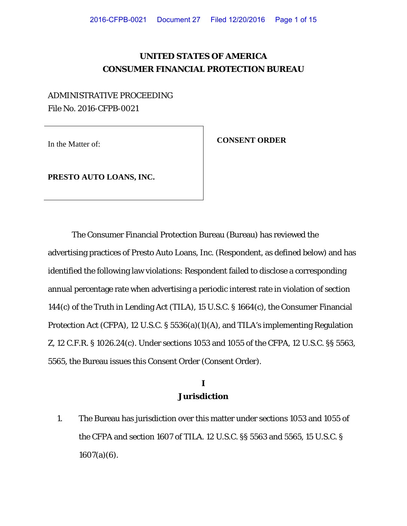# **UNITED STATES OF AMERICA CONSUMER FINANCIAL PROTECTION BUREAU**

# ADMINISTRATIVE PROCEEDING File No. 2016-CFPB-0021

In the Matter of: **CONSENT ORDER** 

**PRESTO AUTO LOANS, INC.**

The Consumer Financial Protection Bureau (Bureau) has reviewed the advertising practices of Presto Auto Loans, Inc. (Respondent, as defined below) and has identified the following law violations: Respondent failed to disclose a corresponding annual percentage rate when advertising a periodic interest rate in violation of section 144(c) of the Truth in Lending Act (TILA), 15 U.S.C. § 1664(c), the Consumer Financial Protection Act (CFPA), 12 U.S.C. § 5536(a)(1)(A), and TILA's implementing Regulation Z, 12 C.F.R. § 1026.24(c). Under sections 1053 and 1055 of the CFPA, 12 U.S.C. §§ 5563, 5565, the Bureau issues this Consent Order (Consent Order).

### **I Jurisdiction**

1. The Bureau has jurisdiction over this matter under sections 1053 and 1055 of the CFPA and section 1607 of TILA. 12 U.S.C. §§ 5563 and 5565, 15 U.S.C. §  $1607(a)(6)$ .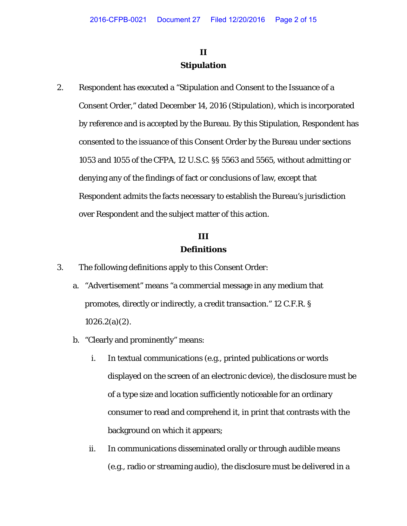# **II Stipulation**

2. Respondent has executed a "Stipulation and Consent to the Issuance of a Consent Order," dated December 14, 2016 (Stipulation), which is incorporated by reference and is accepted by the Bureau. By this Stipulation, Respondent has consented to the issuance of this Consent Order by the Bureau under sections 1053 and 1055 of the CFPA, 12 U.S.C. §§ 5563 and 5565, without admitting or denying any of the findings of fact or conclusions of law, except that Respondent admits the facts necessary to establish the Bureau's jurisdiction over Respondent and the subject matter of this action.

### **III Definitions**

- 3. The following definitions apply to this Consent Order:
	- a. "Advertisement" means "a commercial message in any medium that promotes, directly or indirectly, a credit transaction." 12 C.F.R. §  $1026.2(a)(2)$ .
	- b. "Clearly and prominently" means:
		- i. In textual communications (e.g., printed publications or words displayed on the screen of an electronic device), the disclosure must be of a type size and location sufficiently noticeable for an ordinary consumer to read and comprehend it, in print that contrasts with the background on which it appears;
		- ii. In communications disseminated orally or through audible means (e.g., radio or streaming audio), the disclosure must be delivered in a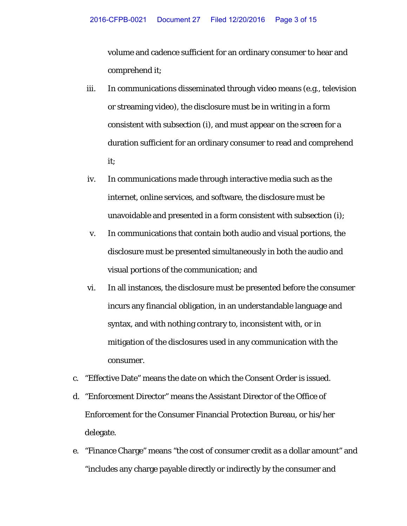volume and cadence sufficient for an ordinary consumer to hear and comprehend it;

- iii. In communications disseminated through video means (e.g., television or streaming video), the disclosure must be in writing in a form consistent with subsection (i), and must appear on the screen for a duration sufficient for an ordinary consumer to read and comprehend it;
- iv. In communications made through interactive media such as the internet, online services, and software, the disclosure must be unavoidable and presented in a form consistent with subsection (i);
- v. In communications that contain both audio and visual portions, the disclosure must be presented simultaneously in both the audio and visual portions of the communication; and
- vi. In all instances, the disclosure must be presented before the consumer incurs any financial obligation, in an understandable language and syntax, and with nothing contrary to, inconsistent with, or in mitigation of the disclosures used in any communication with the consumer.
- c. "Effective Date" means the date on which the Consent Order is issued.
- d. "Enforcement Director" means the Assistant Director of the Office of Enforcement for the Consumer Financial Protection Bureau, or his/her delegate.
- e. "Finance Charge" means "the cost of consumer credit as a dollar amount" and "includes any charge payable directly or indirectly by the consumer and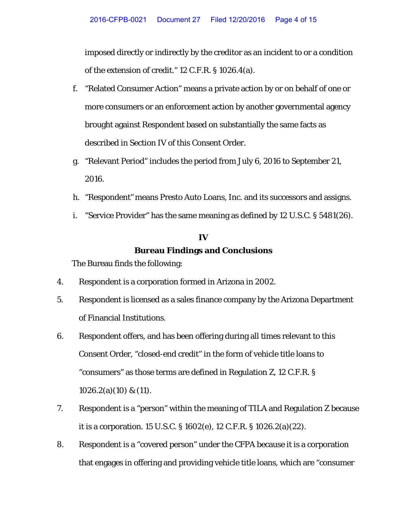imposed directly or indirectly by the creditor as an incident to or a condition of the extension of credit." 12 C.F.R. § 1026.4(a).

- f. "Related Consumer Action" means a private action by or on behalf of one or more consumers or an enforcement action by another governmental agency brought against Respondent based on substantially the same facts as described in Section IV of this Consent Order.
- g. "Relevant Period" includes the period from July 6, 2016 to September 21, 2016.
- h. "Respondent" means Presto Auto Loans, Inc. and its successors and assigns.
- i. "Service Provider" has the same meaning as defined by 12 U.S.C. § 5481(26).

# **IV Bureau Findings and Conclusions**

The Bureau finds the following:

- 4. Respondent is a corporation formed in Arizona in 2002.
- 5. Respondent is licensed as a sales finance company by the Arizona Department of Financial Institutions.
- 6. Respondent offers, and has been offering during all times relevant to this Consent Order, "closed-end credit" in the form of vehicle title loans to "consumers" as those terms are defined in Regulation Z, 12 C.F.R. § 1026.2(a)(10) & (11).
- 7. Respondent is a "person" within the meaning of TILA and Regulation Z because it is a corporation. 15 U.S.C. § 1602(e), 12 C.F.R. § 1026.2(a)(22).
- 8. Respondent is a "covered person" under the CFPA because it is a corporation that engages in offering and providing vehicle title loans, which are "consumer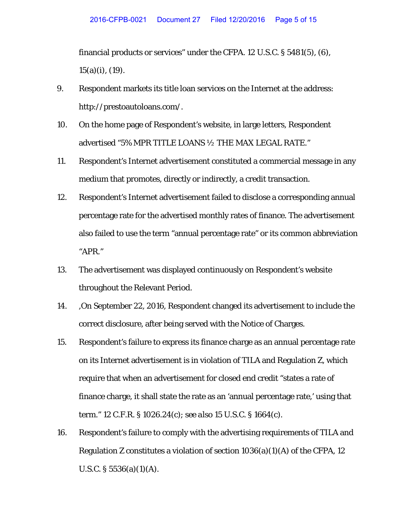financial products or services" under the CFPA. 12 U.S.C. § 5481(5), (6), 15(a)(i), (19).

- 9. Respondent markets its title loan services on the Internet at the address: http://prestoautoloans.com/.
- 10. On the home page of Respondent's website, in large letters, Respondent advertised "5% MPR TITLE LOANS ½ THE MAX LEGAL RATE."
- 11. Respondent's Internet advertisement constituted a commercial message in any medium that promotes, directly or indirectly, a credit transaction.
- 12. Respondent's Internet advertisement failed to disclose a corresponding annual percentage rate for the advertised monthly rates of finance. The advertisement also failed to use the term "annual percentage rate" or its common abbreviation "APR."
- 13. The advertisement was displayed continuously on Respondent's website throughout the Relevant Period.
- 14. ,On September 22, 2016, Respondent changed its advertisement to include the correct disclosure, after being served with the Notice of Charges.
- 15. Respondent's failure to express its finance charge as an annual percentage rate on its Internet advertisement is in violation of TILA and Regulation Z, which require that when an advertisement for closed end credit "states a rate of finance charge, it shall state the rate as an 'annual percentage rate,' using that term." 12 C.F.R. § 1026.24(c); *see also* 15 U.S.C. § 1664(c).
- 16. Respondent's failure to comply with the advertising requirements of TILA and Regulation Z constitutes a violation of section  $1036(a)(1)(A)$  of the CFPA, 12 U.S.C.  $\S 5536(a)(1)(A)$ .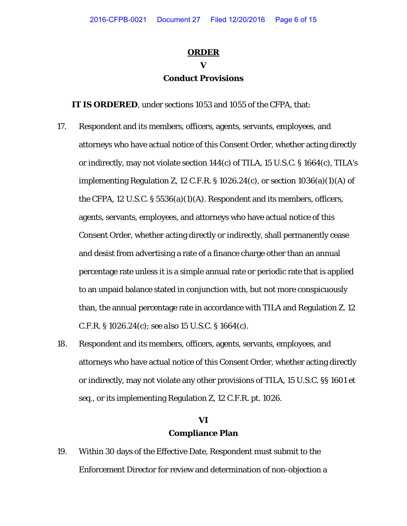#### **ORDER**

## **V Conduct Provisions**

**IT IS ORDERED**, under sections 1053 and 1055 of the CFPA, that:

- 17. Respondent and its members, officers, agents, servants, employees, and attorneys who have actual notice of this Consent Order*,* whether acting directly or indirectly, may not violate section 144(c) of TILA, 15 U.S.C. § 1664(c), TILA's implementing Regulation Z, 12 C.F.R. § 1026.24(c), or section 1036(a)(1)(A) of the CFPA, 12 U.S.C. § 5536(a)(1)(A). Respondent and its members, officers, agents, servants, employees, and attorneys who have actual notice of this Consent Order, whether acting directly or indirectly, shall permanently cease and desist from advertising a rate of a finance charge other than an annual percentage rate unless it is a simple annual rate or periodic rate that is applied to an unpaid balance stated in conjunction with, but not more conspicuously than, the annual percentage rate in accordance with TILA and Regulation Z. 12 C.F.R. § 1026.24(c); *see also* 15 U.S.C. § 1664(c).
- 18. Respondent and its members, officers, agents, servants, employees, and attorneys who have actual notice of this Consent Order*,* whether acting directly or indirectly, may not violate any other provisions of TILA, 15 U.S.C. §§ 1601 *et seq.*, or its implementing Regulation Z, 12 C.F.R. pt. 1026.

# **VI Compliance Plan**

19. Within 30 days of the Effective Date, Respondent must submit to the Enforcement Director for review and determination of non-objection a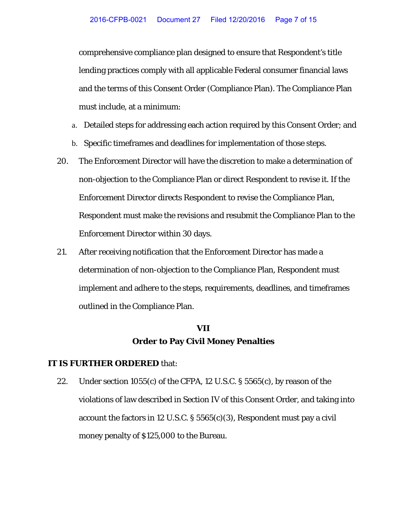comprehensive compliance plan designed to ensure that Respondent's title lending practices comply with all applicable Federal consumer financial laws and the terms of this Consent Order (Compliance Plan). The Compliance Plan must include, at a minimum:

- a. Detailed steps for addressing each action required by this Consent Order; and
- b. Specific timeframes and deadlines for implementation of those steps.
- 20. The Enforcement Director will have the discretion to make a determination of non-objection to the Compliance Plan or direct Respondent to revise it. If the Enforcement Director directs Respondent to revise the Compliance Plan, Respondent must make the revisions and resubmit the Compliance Plan to the Enforcement Director within 30 days.
- 21. After receiving notification that the Enforcement Director has made a determination of non-objection to the Compliance Plan, Respondent must implement and adhere to the steps, requirements, deadlines, and timeframes outlined in the Compliance Plan.

### **VII Order to Pay Civil Money Penalties**

#### **IT IS FURTHER ORDERED** that:

22. Under section 1055(c) of the CFPA, 12 U.S.C. § 5565(c), by reason of the violations of law described in Section IV of this Consent Order, and taking into account the factors in 12 U.S.C. § 5565(c)(3), Respondent must pay a civil money penalty of \$125,000 to the Bureau.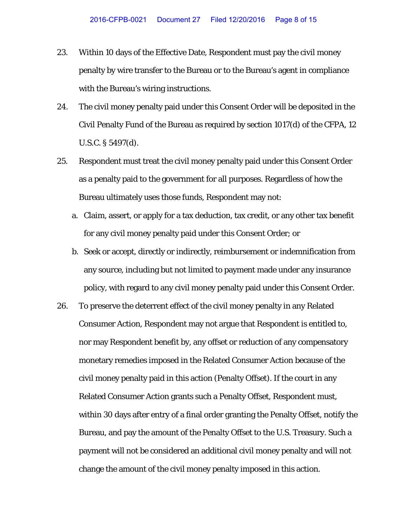- 23. Within 10 days of the Effective Date, Respondent must pay the civil money penalty by wire transfer to the Bureau or to the Bureau's agent in compliance with the Bureau's wiring instructions.
- 24. The civil money penalty paid under this Consent Order will be deposited in the Civil Penalty Fund of the Bureau as required by section 1017(d) of the CFPA, 12 U.S.C. § 5497(d).
- 25. Respondent must treat the civil money penalty paid under this Consent Order as a penalty paid to the government for all purposes. Regardless of how the Bureau ultimately uses those funds, Respondent may not:
	- a. Claim, assert, or apply for a tax deduction, tax credit, or any other tax benefit for any civil money penalty paid under this Consent Order; or
	- b. Seek or accept, directly or indirectly, reimbursement or indemnification from any source, including but not limited to payment made under any insurance policy, with regard to any civil money penalty paid under this Consent Order.
- 26. To preserve the deterrent effect of the civil money penalty in any Related Consumer Action, Respondent may not argue that Respondent is entitled to, nor may Respondent benefit by, any offset or reduction of any compensatory monetary remedies imposed in the Related Consumer Action because of the civil money penalty paid in this action (Penalty Offset). If the court in any Related Consumer Action grants such a Penalty Offset, Respondent must, within 30 days after entry of a final order granting the Penalty Offset, notify the Bureau, and pay the amount of the Penalty Offset to the U.S. Treasury. Such a payment will not be considered an additional civil money penalty and will not change the amount of the civil money penalty imposed in this action.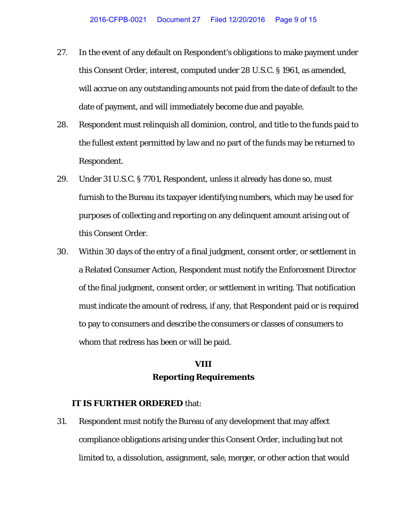- 27. In the event of any default on Respondent's obligations to make payment under this Consent Order, interest, computed under 28 U.S.C. § 1961, as amended, will accrue on any outstanding amounts not paid from the date of default to the date of payment, and will immediately become due and payable.
- 28. Respondent must relinquish all dominion, control, and title to the funds paid to the fullest extent permitted by law and no part of the funds may be returned to Respondent.
- 29. Under 31 U.S.C. § 7701, Respondent, unless it already has done so, must furnish to the Bureau its taxpayer identifying numbers, which may be used for purposes of collecting and reporting on any delinquent amount arising out of this Consent Order.
- 30. Within 30 days of the entry of a final judgment, consent order, or settlement in a Related Consumer Action, Respondent must notify the Enforcement Director of the final judgment, consent order, or settlement in writing. That notification must indicate the amount of redress, if any, that Respondent paid or is required to pay to consumers and describe the consumers or classes of consumers to whom that redress has been or will be paid.

### **VIII Reporting Requirements**

#### **IT IS FURTHER ORDERED** that:

31. Respondent must notify the Bureau of any development that may affect compliance obligations arising under this Consent Order, including but not limited to, a dissolution, assignment, sale, merger, or other action that would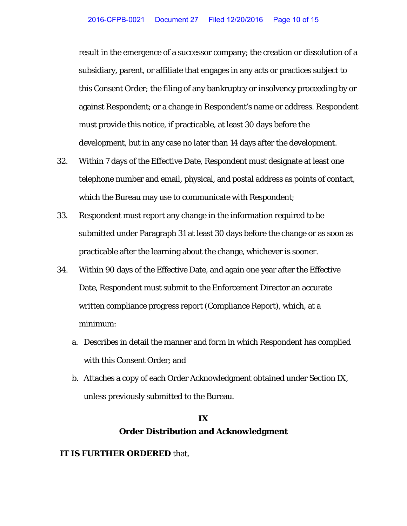result in the emergence of a successor company; the creation or dissolution of a subsidiary, parent, or affiliate that engages in any acts or practices subject to this Consent Order; the filing of any bankruptcy or insolvency proceeding by or against Respondent; or a change in Respondent's name or address. Respondent must provide this notice, if practicable, at least 30 days before the development, but in any case no later than 14 days after the development.

- 32. Within 7 days of the Effective Date, Respondent must designate at least one telephone number and email, physical, and postal address as points of contact, which the Bureau may use to communicate with Respondent;
- 33. Respondent must report any change in the information required to be submitted under Paragraph 31 at least 30 days before the change or as soon as practicable after the learning about the change, whichever is sooner.
- 34. Within 90 days of the Effective Date, and again one year after the Effective Date, Respondent must submit to the Enforcement Director an accurate written compliance progress report (Compliance Report), which, at a minimum:
	- a. Describes in detail the manner and form in which Respondent has complied with this Consent Order; and
	- b. Attaches a copy of each Order Acknowledgment obtained under Section IX, unless previously submitted to the Bureau.

# **IX Order Distribution and Acknowledgment**

#### **IT IS FURTHER ORDERED** that,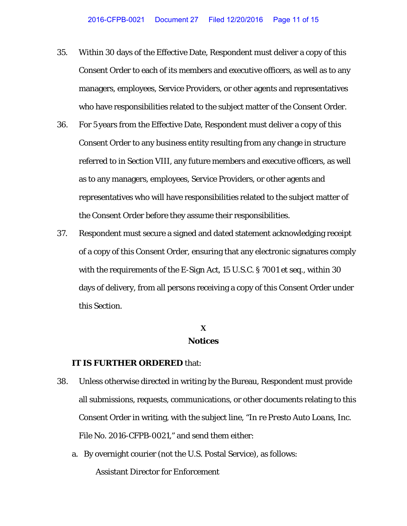- 35. Within 30 days of the Effective Date, Respondent must deliver a copy of this Consent Order to each of its members and executive officers, as well as to any managers, employees, Service Providers, or other agents and representatives who have responsibilities related to the subject matter of the Consent Order.
- 36. For 5 years from the Effective Date, Respondent must deliver a copy of this Consent Order to any business entity resulting from any change in structure referred to in Section VIII, any future members and executive officers, as well as to any managers, employees, Service Providers, or other agents and representatives who will have responsibilities related to the subject matter of the Consent Order before they assume their responsibilities.
- 37. Respondent must secure a signed and dated statement acknowledging receipt of a copy of this Consent Order, ensuring that any electronic signatures comply with the requirements of the E-Sign Act, 15 U.S.C. § 7001 *et seq.*, within 30 days of delivery, from all persons receiving a copy of this Consent Order under this Section.

#### **X Notices**

#### **IT IS FURTHER ORDERED** that:

- 38. Unless otherwise directed in writing by the Bureau, Respondent must provide all submissions, requests, communications, or other documents relating to this Consent Order in writing, with the subject line, "*In re Presto Auto Loans, Inc.* File No. 2016-CFPB-0021," and send them either:
	- a. By overnight courier (not the U.S. Postal Service), as follows: Assistant Director for Enforcement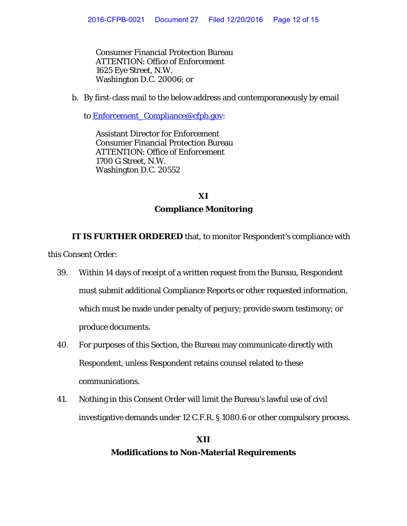Consumer Financial Protection Bureau ATTENTION: Office of Enforcement 1625 Eye Street, N.W. Washington D.C. 20006; or

b. By first-class mail to the below address and contemporaneously by email

to **Enforcement** Compliance@cfpb.gov:

Assistant Director for Enforcement Consumer Financial Protection Bureau ATTENTION: Office of Enforcement 1700 G Street, N.W. Washington D.C. 20552

# **XI Compliance Monitoring**

**IT IS FURTHER ORDERED** that, to monitor Respondent's compliance with this Consent Order:

- 39. Within 14 days of receipt of a written request from the Bureau, Respondent must submit additional Compliance Reports or other requested information, which must be made under penalty of perjury; provide sworn testimony; or produce documents.
- 40. For purposes of this Section, the Bureau may communicate directly with Respondent, unless Respondent retains counsel related to these communications.
- 41. Nothing in this Consent Order will limit the Bureau's lawful use of civil investigative demands under 12 C.F.R. § 1080.6 or other compulsory process.

# **XII Modifications to Non-Material Requirements**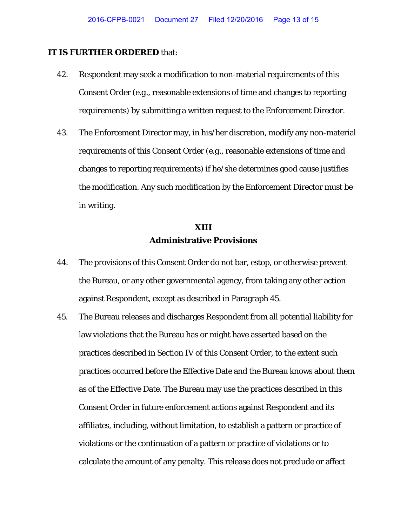#### **IT IS FURTHER ORDERED** that:

- 42. Respondent may seek a modification to non-material requirements of this Consent Order (*e.g*., reasonable extensions of time and changes to reporting requirements) by submitting a written request to the Enforcement Director.
- 43. The Enforcement Director may, in his/her discretion, modify any non-material requirements of this Consent Order (*e.g*., reasonable extensions of time and changes to reporting requirements) if he/she determines good cause justifies the modification. Any such modification by the Enforcement Director must be in writing.

# **XIII Administrative Provisions**

- 44. The provisions of this Consent Order do not bar, estop, or otherwise prevent the Bureau, or any other governmental agency, from taking any other action against Respondent, except as described in Paragraph 45.
- 45. The Bureau releases and discharges Respondent from all potential liability for law violations that the Bureau has or might have asserted based on the practices described in Section IV of this Consent Order, to the extent such practices occurred before the Effective Date and the Bureau knows about them as of the Effective Date. The Bureau may use the practices described in this Consent Order in future enforcement actions against Respondent and its affiliates, including, without limitation, to establish a pattern or practice of violations or the continuation of a pattern or practice of violations or to calculate the amount of any penalty. This release does not preclude or affect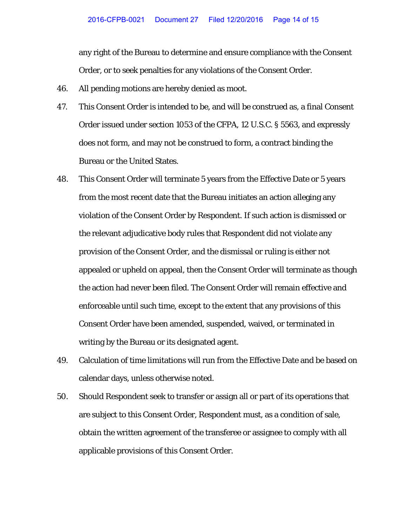any right of the Bureau to determine and ensure compliance with the Consent Order, or to seek penalties for any violations of the Consent Order.

- 46. All pending motions are hereby denied as moot.
- 47. This Consent Order is intended to be, and will be construed as, a final Consent Order issued under section 1053 of the CFPA, 12 U.S.C. § 5563, and expressly does not form, and may not be construed to form, a contract binding the Bureau or the United States.
- 48. This Consent Order will terminate 5 years from the Effective Date or 5 years from the most recent date that the Bureau initiates an action alleging any violation of the Consent Order by Respondent. If such action is dismissed or the relevant adjudicative body rules that Respondent did not violate any provision of the Consent Order, and the dismissal or ruling is either not appealed or upheld on appeal, then the Consent Order will terminate as though the action had never been filed. The Consent Order will remain effective and enforceable until such time, except to the extent that any provisions of this Consent Order have been amended, suspended, waived, or terminated in writing by the Bureau or its designated agent.
- 49. Calculation of time limitations will run from the Effective Date and be based on calendar days, unless otherwise noted.
- 50. Should Respondent seek to transfer or assign all or part of its operations that are subject to this Consent Order, Respondent must, as a condition of sale, obtain the written agreement of the transferee or assignee to comply with all applicable provisions of this Consent Order.